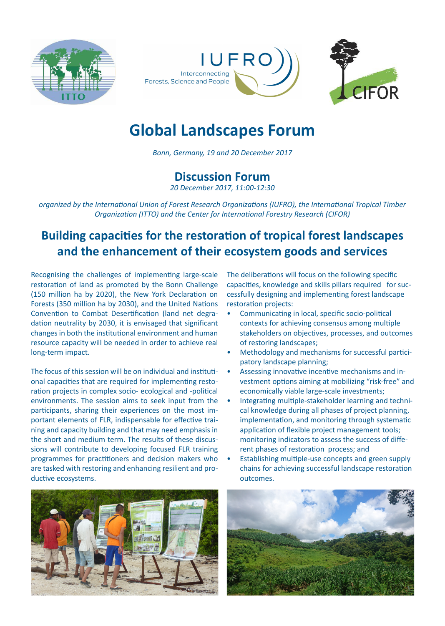





# **Global Landscapes Forum**

*Bonn, Germany, 19 and 20 December 2017*

### **Discussion Forum**

*20 December 2017, 11:00-12:30*

*organized by the International Union of Forest Research Organizations (IUFRO), the International Tropical Timber Organization (ITTO) and the Center for International Forestry Research (CIFOR)*

## **Building capacities for the restoration of tropical forest landscapes and the enhancement of their ecosystem goods and services**

Recognising the challenges of implementing large-scale restoration of land as promoted by the Bonn Challenge (150 million ha by 2020), the New York Declaration on Forests (350 million ha by 2030), and the United Nations Convention to Combat Desertification (land net degradation neutrality by 2030, it is envisaged that significant changes in both the institutional environment and human resource capacity will be needed in order to achieve real long-term impact.

The focus of this session will be on individual and institutional capacities that are required for implementing restoration projects in complex socio- ecological and -political environments. The session aims to seek input from the participants, sharing their experiences on the most important elements of FLR, indispensable for effective training and capacity building and that may need emphasis in the short and medium term. The results of these discussions will contribute to developing focused FLR training programmes for practitioners and decision makers who are tasked with restoring and enhancing resilient and productive ecosystems.



The deliberations will focus on the following specific capacities, knowledge and skills pillars required for successfully designing and implementing forest landscape restoration projects:

- Communicating in local, specific socio-political contexts for achieving consensus among multiple stakeholders on objectives, processes, and outcomes of restoring landscapes;
- Methodology and mechanisms for successful participatory landscape planning;
- Assessing innovative incentive mechanisms and investment options aiming at mobilizing "risk-free" and economically viable large-scale investments;
- Integrating multiple-stakeholder learning and technical knowledge during all phases of project planning, implementation, and monitoring through systematic application of flexible project management tools; monitoring indicators to assess the success of different phases of restoration process; and
- Establishing multiple-use concepts and green supply chains for achieving successful landscape restoration outcomes.